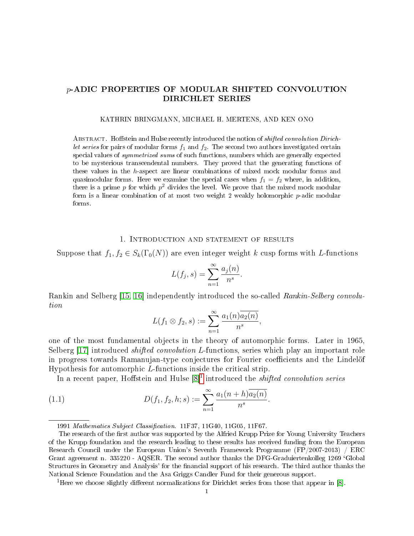# p-ADIC PROPERTIES OF MODULAR SHIFTED CONVOLUTION DIRICHLET SERIES

#### KATHRIN BRINGMANN, MICHAEL H. MERTENS, AND KEN ONO

ABSTRACT. Hoffstein and Hulse recently introduced the notion of *shifted convolution Dirich*let series for pairs of modular forms  $f_1$  and  $f_2$ . The second two authors investigated certain special values of *symmetrized sums* of such functions, numbers which are generally expected to be mysterious transcendental numbers. They proved that the generating functions of these values in the h-aspect are linear combinations of mixed mock modular forms and quasimodular forms. Here we examine the special cases when  $f_1 = f_2$  where, in addition, there is a prime  $p$  for which  $p^2$  divides the level. We prove that the mixed mock modular form is a linear combination of at most two weight 2 weakly holomorphic p-adic modular forms.

#### 1. Introduction and statement of results

Suppose that  $f_1, f_2 \in S_k(\Gamma_0(N))$  are even integer weight k cusp forms with L-functions

$$
L(f_j, s) = \sum_{n=1}^{\infty} \frac{a_j(n)}{n^s}.
$$

Rankin and Selberg [\[15,](#page-11-0) [16\]](#page-11-1) independently introduced the so-called Rankin-Selberg convolution

<span id="page-0-1"></span>
$$
L(f_1 \otimes f_2, s) := \sum_{n=1}^{\infty} \frac{a_1(n) \overline{a_2(n)}}{n^s},
$$

one of the most fundamental objects in the theory of automorphic forms. Later in 1965, Selberg [\[17\]](#page-11-2) introduced *shifted convolution L*-functions, series which play an important role in progress towards Ramanujan-type conjectures for Fourier coefficients and the Lindelöf Hypothesis for automorphic L-functions inside the critical strip.

In a recent paper, Hoffstein and Hulse  $[8]^1$  $[8]^1$  $[8]^1$  introduced the *shifted convolution series* 

(1.1) 
$$
D(f_1, f_2, h; s) := \sum_{n=1}^{\infty} \frac{a_1(n+h)\overline{a_2(n)}}{n^s}.
$$

<sup>1991</sup> Mathematics Subject Classification. 11F37, 11G40, 11G05, 11F67.

The research of the first author was supported by the Alfried Krupp Prize for Young University Teachers of the Krupp foundation and the research leading to these results has received funding from the European Research Council under the European Union's Seventh Framework Programme (FP/2007-2013) / ERC Grant agreement n. 335220 - AQSER. The second author thanks the DFG-Graduiertenkolleg 1269 `Global Structures in Geometry and Analysis' for the financial support of his research. The third author thanks the National Science Foundation and the Asa Griggs Candler Fund for their generous support.

<span id="page-0-0"></span><sup>&</sup>lt;sup>1</sup>Here we choose slightly different normalizations for Dirichlet series from those that appear in [\[8\]](#page-11-3).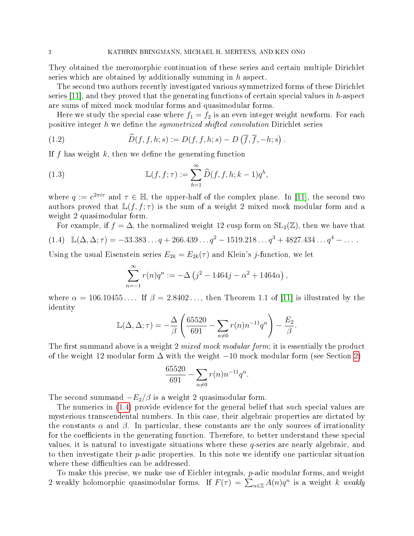They obtained the meromorphic continuation of these series and certain multiple Dirichlet series which are obtained by additionally summing in  $h$  aspect.

The second two authors recently investigated various symmetrized forms of these Dirichlet series  $[11]$ , and they proved that the generating functions of certain special values in h-aspect are sums of mixed mock modular forms and quasimodular forms.

Here we study the special case where  $f_1 = f_2$  is an even integer weight newform. For each positive integer h we define the *symmetrized shifted convolution* Dirichlet series

<span id="page-1-1"></span>(1.2) 
$$
\widehat{D}(f, f, h; s) := D(f, f, h; s) - D(\overline{f}, \overline{f}, -h; s).
$$

If f has weight  $k$ , then we define the generating function

<span id="page-1-2"></span>(1.3) 
$$
\mathbb{L}(f, f; \tau) := \sum_{h=1}^{\infty} \widehat{D}(f, f, h; k-1) q^h,
$$

where  $q := e^{2\pi i \tau}$  and  $\tau \in \mathbb{H}$ , the upper-half of the complex plane. In [\[11\]](#page-11-4), the second two authors proved that  $\mathbb{L}(f, f; \tau)$  is the sum of a weight 2 mixed mock modular form and a weight 2 quasimodular form.

<span id="page-1-0"></span>For example, if  $f = \Delta$ , the normalized weight 12 cusp form on  $SL_2(\mathbb{Z})$ , then we have that (1.4)  $\mathbb{L}(\Delta, \Delta; \tau) = -33.383... q + 266.439... q^2 - 1519.218... q^3 + 4827.434... q^4 - ...$ 

Using the usual Eisenstein series  $E_{2k} = E_{2k}(\tau)$  and Klein's j-function, we let

$$
\sum_{n=-1}^{\infty} r(n)q^n := -\Delta (j^2 - 1464j - \alpha^2 + 1464\alpha) ,
$$

where  $\alpha = 106.10455...$  If  $\beta = 2.8402...$ , then Theorem 1.1 of [\[11\]](#page-11-4) is illustrated by the identity

$$
\mathbb{L}(\Delta, \Delta; \tau) = -\frac{\Delta}{\beta} \left( \frac{65520}{691} - \sum_{n \neq 0} r(n) n^{-11} q^n \right) - \frac{E_2}{\beta}.
$$

The first summand above is a weight 2 mixed mock modular form; it is essentially the product of the weight 12 modular form  $\Delta$  with the weight  $-10$  mock modular form (see Section [2\)](#page-3-0)

$$
\frac{65520}{691} - \sum_{n \neq 0} r(n) n^{-11} q^n.
$$

The second summand  $-E_2/\beta$  is a weight 2 quasimodular form.

The numerics in [\(1.4\)](#page-1-0) provide evidence for the general belief that such special values are mysterious transcendental numbers. In this case, their algebraic properties are dictated by the constants  $\alpha$  and  $\beta$ . In particular, these constants are the only sources of irrationality for the coefficients in the generating function. Therefore, to better understand these special values, it is natural to investigate situations where these q-series are nearly algebraic, and to then investigate their  $p$ -adic properties. In this note we identify one particular situation where these difficulties can be addressed.

To make this precise, we make use of Eichler integrals, p-adic modular forms, and weight 2 weakly holomorphic quasimodular forms. If  $F(\tau) = \sum_{n \in \mathbb{Z}} A(n)q^n$  is a weight k weakly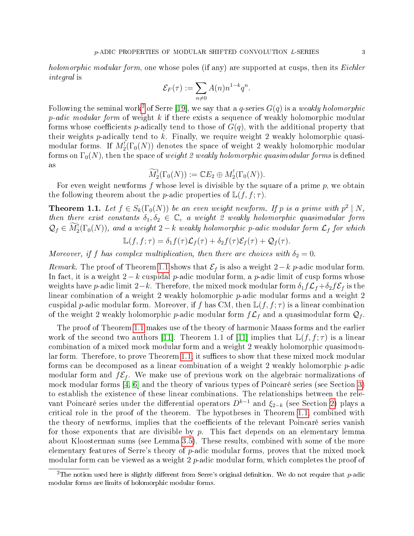holomorphic modular form, one whose poles (if any) are supported at cusps, then its Eichler integral is

$$
\mathcal{E}_F(\tau) := \sum_{n \neq 0} A(n) n^{1-k} q^n.
$$

Following the seminal work $^2$  $^2$  of Serre [\[19\]](#page-12-0), we say that a  $q$ -series  $G(q)$  is a *weakly holomorphic*  $p\text{-}adic\ modular\ form\ of\ weight\ k\ \text{if there exists a sequence of weakly holomorphic modular}\$ forms whose coefficients p-adically tend to those of  $G(q)$ , with the additional property that their weights  $p$ -adically tend to  $k$ . Finally, we require weight 2 weakly holomorphic quasimodular forms. If  $M_{2}^{!}(\Gamma_{0}(N))$  denotes the space of weight  $2$  weakly holomorphic modular forms on  $\Gamma_0(N)$ , then the space of weight 2 weakly holomorphic quasimodular forms is defined as

$$
\widetilde{M}_2^!(\Gamma_0(N)) := \mathbb{C}E_2 \oplus M_2^!(\Gamma_0(N)).
$$

For even weight newforms f whose level is divisible by the square of a prime  $p$ , we obtain the following theorem about the *p*-adic properties of  $\mathbb{L}(f, f; \tau)$ .

<span id="page-2-1"></span>**Theorem 1.1.** Let  $f \in S_k(\Gamma_0(N))$  be an even weight newform. If p is a prime with  $p^2 \mid N$ , then there exist constants  $\delta_1, \delta_2 \in \mathbb{C}$ , a weight 2 weakly holomorphic quasimodular form  $\mathcal{Q}_f \in M_2^1(\Gamma_0(N))$ , and a weight  $2-k$  weakly holomorphic p-adic modular form  $\mathcal{L}_f$  for which

$$
\mathbb{L}(f, f; \tau) = \delta_1 f(\tau) \mathcal{L}_f(\tau) + \delta_2 f(\tau) \mathcal{E}_f(\tau) + \mathcal{Q}_f(\tau).
$$

Moreover, if f has complex multiplication, then there are choices with  $\delta_2 = 0$ .

Remark. The proof of Theorem [1.1](#page-2-1) shows that  $\mathcal{E}_f$  is also a weight 2−k p-adic modular form. In fact, it is a weight  $2-k$  cuspidal p-adic modular form, a p-adic limit of cusp forms whose weights have p-adic limit 2−k. Therefore, the mixed mock modular form  $\delta_1 f \mathcal{L}_f + \delta_2 f \mathcal{E}_f$  is the linear combination of a weight 2 weakly holomorphic p-adic modular forms and a weight 2 cuspidal p-adic modular form. Moreover, if f has CM, then  $\mathbb{L}(f, f; \tau)$  is a linear combination of the weight 2 weakly holomorphic p-adic modular form  $f\mathcal{L}_f$  and a quasimodular form  $\mathcal{Q}_f$ .

The proof of Theorem [1.1](#page-2-1) makes use of the theory of harmonic Maass forms and the earlier work of the second two authors [\[11\]](#page-11-4). Theorem 1.1 of [11] implies that  $\mathbb{L}(f, f; \tau)$  is a linear combination of a mixed mock modular form and a weight 2 weakly holomorphic quasimodular form. Therefore, to prove Theorem  $1.1$ , it suffices to show that these mixed mock modular forms can be decomposed as a linear combination of a weight 2 weakly holomorphic  $p$ -adic modular form and  $f\mathcal{E}_f$ . We make use of previous work on the algebraic normalizations of mock modular forms [\[4,](#page-11-5) [6\]](#page-11-6) and the theory of various types of Poincaré series (see Section [3\)](#page-4-0) to establish the existence of these linear combinations. The relationships between the relevant Poincaré series under the differential operators  $D^{k-1}$  and  $\xi_{2-k}$  (see Section [2\)](#page-3-0) plays a critical role in the proof of the theorem. The hypotheses in Theorem [1.1,](#page-2-1) combined with the theory of newforms, implies that the coefficients of the relevant Poincaré series vanish for those exponents that are divisible by  $p$ . This fact depends on an elementary lemma about Kloosterman sums (see Lemma [3.5\)](#page-6-0). These results, combined with some of the more elementary features of Serre's theory of  $p$ -adic modular forms, proves that the mixed mock modular form can be viewed as a weight 2 p-adic modular form, which completes the proof of

<span id="page-2-0"></span><sup>&</sup>lt;sup>2</sup>The notion used here is slightly different from Serre's original definition. We do not require that  $p$ -adic modular forms are limits of holomorphic modular forms.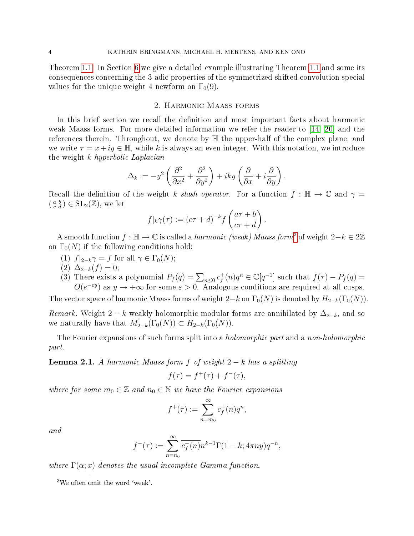Theorem [1.1.](#page-2-1) In Section [6](#page-9-0) we give a detailed example illustrating Theorem [1.1](#page-2-1) and some its consequences concerning the 3-adic properties of the symmetrized shifted convolution special values for the unique weight 4 newform on  $\Gamma_0(9)$ .

## 2. Harmonic Maass forms

<span id="page-3-0"></span>In this brief section we recall the definition and most important facts about harmonic weak Maass forms. For more detailed information we refer the reader to  $(14, 20)$  and the references therein. Throughout, we denote by H the upper-half of the complex plane, and we write  $\tau = x + iy \in \mathbb{H}$ , while k is always an even integer. With this notation, we introduce the weight k hyperbolic Laplacian

$$
\Delta_k := -y^2 \left( \frac{\partial^2}{\partial x^2} + \frac{\partial^2}{\partial y^2} \right) + iky \left( \frac{\partial}{\partial x} + i \frac{\partial}{\partial y} \right)
$$

.

Recall the definition of the weight k slash operator. For a function  $f : \mathbb{H} \to \mathbb{C}$  and  $\gamma =$  $\left(\begin{smallmatrix} a & b \\ c & d \end{smallmatrix}\right) \in \mathrm{SL}_2(\mathbb{Z})$ , we let

$$
f|_{k}\gamma(\tau) := (c\tau + d)^{-k} f\left(\frac{a\tau + b}{c\tau + d}\right).
$$

A smooth function  $f : \mathbb{H} \to \mathbb{C}$  is called a *harmonic (weak) Maass form*<sup>[3](#page-3-1)</sup> of weight  $2-k \in 2\mathbb{Z}$ on  $\Gamma_0(N)$  if the following conditions hold:

- (1)  $f|_{2-k} \gamma = f$  for all  $\gamma \in \Gamma_0(N);$
- (2)  $\Delta_{2-k}(f) = 0;$
- (3) There exists a polynomial  $P_f(q) = \sum_{n \leq 0} c_f^+$  $f_f^+(n)q^n \in \mathbb{C}[q^{-1}]$  such that  $f(\tau) - P_f(q) =$  $O(e^{-\varepsilon y})$  as  $y \to +\infty$  for some  $\varepsilon > 0$ . Analogous conditions are required at all cusps.

The vector space of harmonic Maass forms of weight 2–k on  $\Gamma_0(N)$  is denoted by  $H_{2-k}(\Gamma_0(N))$ .

Remark. Weight 2 − k weakly holomorphic modular forms are annihilated by  $\Delta_{2-k}$ , and so we naturally have that  $M_{2-k}^{\perp}(\Gamma_0(N)) \subset H_{2-k}(\Gamma_0(N)).$ 

The Fourier expansions of such forms split into a *holomorphic part* and a *non-holomorphic* part.

**Lemma 2.1.** A harmonic Maass form f of weight  $2 - k$  has a splitting

$$
f(\tau) = f^+(\tau) + f^-(\tau),
$$

where for some  $m_0 \in \mathbb{Z}$  and  $n_0 \in \mathbb{N}$  we have the Fourier expansions

$$
f^+(\tau) := \sum_{n=m_0}^{\infty} c_f^+(n)q^n,
$$

and

$$
f^{-}(\tau) := \sum_{n=n_0}^{\infty} \overline{c_f^{-}(n)} n^{k-1} \Gamma(1-k; 4\pi n y) q^{-n},
$$

where  $\Gamma(\alpha; x)$  denotes the usual incomplete Gamma-function.

<span id="page-3-1"></span> $3$ We often omit the word 'weak'.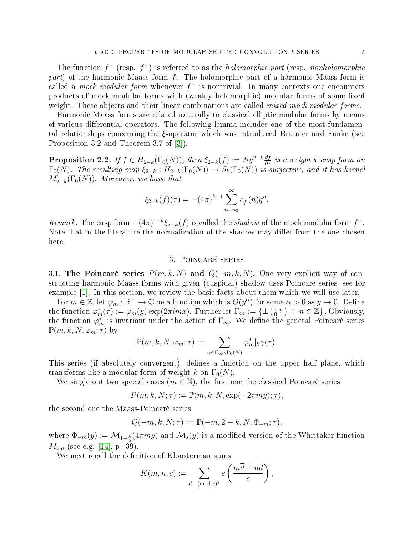The function  $f^+$  (resp.  $f^-$ ) is referred to as the *holomorphic part* (resp. *nonholomorphic part*) of the harmonic Maass form f. The holomorphic part of a harmonic Maass form is called a *mock modular form* whenever  $f^-$  is nontrivial. In many contexts one encounters products of mock modular forms with (weakly holomorphic) modular forms of some fixed weight. These objects and their linear combinations are called *mixed mock modular forms*.

Harmonic Maass forms are related naturally to classical elliptic modular forms by means of various differential operators. The following lemma includes one of the most fundamental relationships concerning the ξ-operator which was introduced Bruinier and Funke (see Proposition 3.2 and Theorem 3.7 of [\[3\]](#page-11-8)).

**Proposition 2.2.** If  $f \in H_{2-k}(\Gamma_0(N))$ , then  $\xi_{2-k}(f) := 2iy^{2-k}\frac{\partial f}{\partial \overline{\tau}}$  is a weight k cusp form on  $\Gamma_0(N)$ . The resulting map  $\xi_{2-k} : H_{2-k}(\Gamma_0(N)) \to S_k(\Gamma_0(N))$  is surjective, and it has kernel  $M^!_{2-k}(\Gamma_0(N))$ . Moreover, we have that

$$
\xi_{2-k}(f)(\tau) = -(4\pi)^{k-1} \sum_{n=n_0}^{\infty} c_f^-(n)q^n.
$$

Remark. The cusp form  $-(4\pi)^{1-k}\xi_{2-k}(f)$  is called the shadow of the mock modular form  $f^+$ . Note that in the literature the normalization of the shadow may differ from the one chosen here.

#### 3. Poincaré series

<span id="page-4-0"></span>3.1. The Poincaré series  $P(m, k, N)$  and  $Q(-m, k, N)$ . One very explicit way of constructing harmonic Maass forms with given (cuspidal) shadow uses Poincaré series, see for example [\[1\]](#page-11-9). In this section, we review the basic facts about them which we will use later.

For  $m \in \mathbb{Z}$ , let  $\varphi_m : \mathbb{R}^+ \to \mathbb{C}$  be a function which is  $O(y^{\alpha})$  for some  $\alpha > 0$  as  $y \to 0$ . Define the function  $\varphi_m^*(\tau) := \varphi_m(y) \exp(2\pi imx)$ . Further let  $\Gamma_\infty^{\circ} := \{ \pm \left( \begin{smallmatrix} 1 & n \\ 0 & 1 \end{smallmatrix} \right) : n \in \mathbb{Z} \}$ . Obviously, the function  $\varphi_m^*$  is invariant under the action of  $\Gamma_\infty$ . We define the general Poincaré series  $\mathbb{P}(m, k, N, \varphi_m; \tau)$  by

$$
\mathbb{P}(m,k,N,\varphi_m;\tau):=\sum_{\gamma\in\Gamma_\infty\backslash\Gamma_0(N)}\varphi_m^*|_k\gamma(\tau).
$$

This series (if absolutely convergent), defines a function on the upper half plane, which transforms like a modular form of weight k on  $\Gamma_0(N)$ .

We single out two special cases  $(m \in \mathbb{N})$ , the first one the classical Poincaré series

$$
P(m, k, N; \tau) := \mathbb{P}(m, k, N, \exp(-2\pi my); \tau),
$$

the second one the Maass-Poincaré series

$$
Q(-m,k,N;\tau):=\mathbb{P}(-m,2-k,N,\Phi_{-m};\tau),
$$

where  $\Phi_{-m}(y):={\cal M}_{1-\frac{k}{2}}(4\pi my)$  and  ${\cal M}_{s}(y)$  is a modified version of the Whittaker function  $M_{\nu,\mu}$  (see e.g. [\[14\]](#page-11-7), p. 39).

We next recall the definition of Kloosterman sums

$$
K(m, n, c) := \sum_{d \pmod{c}^*} e\left(\frac{md + nd}{c}\right),
$$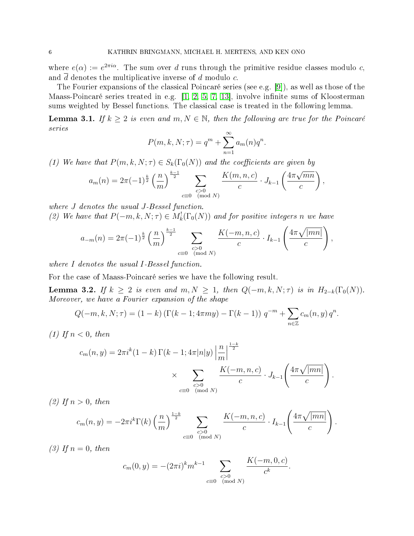where  $e(\alpha) := e^{2\pi i \alpha}$ . The sum over d runs through the primitive residue classes modulo c, and  $\overline{d}$  denotes the multiplicative inverse of  $d$  modulo  $c$ .

The Fourier expansions of the classical Poincaré series (see e.g. [\[9\]](#page-11-10)), as well as those of the Maass-Poincaré series treated in e.g.  $[1, 2, 5, 7, 13]$  $[1, 2, 5, 7, 13]$  $[1, 2, 5, 7, 13]$  $[1, 2, 5, 7, 13]$  $[1, 2, 5, 7, 13]$ , involve infinite sums of Kloosterman sums weighted by Bessel functions. The classical case is treated in the following lemma.

**Lemma 3.1.** If  $k \geq 2$  is even and  $m, N \in \mathbb{N}$ , then the following are true for the Poincaré series

$$
P(m, k, N; \tau) = qm + \sum_{n=1}^{\infty} a_m(n) q^n.
$$

(1) We have that  $P(m, k, N; \tau) \in S_k(\Gamma_0(N))$  and the coefficients are given by

$$
a_m(n) = 2\pi (-1)^{\frac{k}{2}} \left(\frac{n}{m}\right)^{\frac{k-1}{2}} \sum_{\substack{c>0 \\ c \equiv 0 \pmod{N}}} \frac{K(m, n, c)}{c} \cdot J_{k-1}\left(\frac{4\pi \sqrt{mn}}{c}\right),
$$

where J denotes the usual J-Bessel function. (2) We have that  $P(-m, k, N; \tau) \in M_k^!(\Gamma_0(N))$  and for positive integers n we have

$$
a_{-m}(n) = 2\pi (-1)^{\frac{k}{2}} \left(\frac{n}{m}\right)^{\frac{k-1}{2}} \sum_{\substack{c>0 \ \text{ (mod } N)}} \frac{K(-m, n, c)}{c} \cdot I_{k-1}\left(\frac{4\pi\sqrt{|mn|}}{c}\right),
$$

where I denotes the usual I-Bessel function.

For the case of Maass-Poincaré series we have the following result.

<span id="page-5-0"></span>**Lemma 3.2.** If  $k \geq 2$  is even and  $m, N \geq 1$ , then  $Q(-m, k, N; \tau)$  is in  $H_{2-k}(\Gamma_0(N))$ . Moreover, we have a Fourier expansion of the shape

$$
Q(-m, k, N; \tau) = (1 - k) \left( \Gamma(k - 1; 4\pi my) - \Gamma(k - 1) \right) q^{-m} + \sum_{n \in \mathbb{Z}} c_m(n, y) q^n.
$$

(1) If  $n < 0$ , then

$$
c_m(n, y) = 2\pi i^k (1 - k) \Gamma(k - 1; 4\pi |n|y) \left| \frac{n}{m} \right|^{\frac{1 - k}{2}} \times \sum_{\substack{c > 0 \\ c \equiv 0 \pmod{N}}} \frac{K(-m, n, c)}{c} \cdot J_{k-1} \left( \frac{4\pi \sqrt{|mn|}}{c} \right).
$$

(2) If  $n > 0$ , then

$$
c_m(n,y) = -2\pi i^k \Gamma(k) \left(\frac{n}{m}\right)^{\frac{1-k}{2}} \sum_{\substack{c>0\\c\equiv 0\pmod{N}}} \frac{K(-m,n,c)}{c} \cdot I_{k-1}\left(\frac{4\pi\sqrt{|mn|}}{c}\right).
$$

(3) If  $n = 0$ , then

$$
c_m(0, y) = -(2\pi i)^k m^{k-1} \sum_{\substack{c>0\\c\equiv 0\pmod{N}}} \frac{K(-m, 0, c)}{c^k}.
$$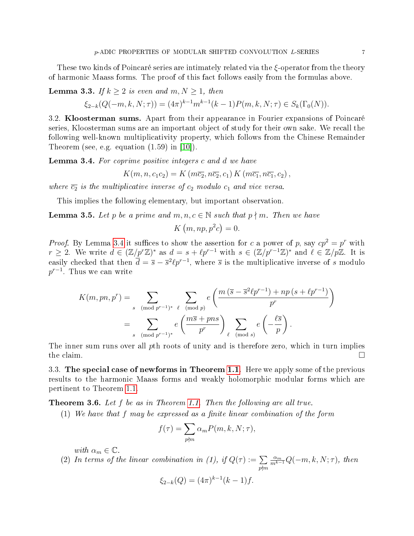These two kinds of Poincaré series are intimately related via the ξ-operator from the theory of harmonic Maass forms. The proof of this fact follows easily from the formulas above.

<span id="page-6-2"></span>**Lemma 3.3.** If  $k \geq 2$  is even and  $m, N \geq 1$ , then

$$
\xi_{2-k}(Q(-m,k,N;\tau)) = (4\pi)^{k-1}m^{k-1}(k-1)P(m,k,N;\tau) \in S_k(\Gamma_0(N)).
$$

3.2. Kloosterman sums. Apart from their appearance in Fourier expansions of Poincaré series, Kloosterman sums are an important object of study for their own sake. We recall the following well-known multiplicativity property, which follows from the Chinese Remainder Theorem (see, e.g. equation (1.59) in [\[10\]](#page-11-15)).

<span id="page-6-1"></span>**Lemma 3.4.** For coprime positive integers c and d we have

$$
K(m, n, c_1c_2) = K(m\overline{c_2}, n\overline{c_2}, c_1) K(m\overline{c_1}, n\overline{c_1}, c_2),
$$

where  $\overline{c_2}$  is the multiplicative inverse of  $c_2$  modulo  $c_1$  and vice versa.

This implies the following elementary, but important observation.

<span id="page-6-0"></span>**Lemma 3.5.** Let p be a prime and  $m, n, c \in \mathbb{N}$  such that  $p \nmid m$ . Then we have

$$
K(m, np, p^2c) = 0.
$$

*Proof.* By Lemma [3.4](#page-6-1) it suffices to show the assertion for c a power of p, say  $cp^2 = p^r$  with  $r \geq 2$ . We write  $d \in (\mathbb{Z}/p^r\mathbb{Z})^*$  as  $d = s + \ell p^{r-1}$  with  $s \in (\mathbb{Z}/p^{r-1}\mathbb{Z})^*$  and  $\ell \in \mathbb{Z}/p\mathbb{Z}$ . It is easily checked that then  $\bar{d} = \bar{s} - \bar{s}^2 \ell p^{r-1}$ , where  $\bar{s}$  is the multiplicative inverse of s modulo  $p^{r-1}.$  Thus we can write

$$
K(m, pn, p^r) = \sum_{s \pmod{p^{r-1}}^*} \sum_{\ell \pmod{p}} e\left(\frac{m(\overline{s} - \overline{s}^2 \ell p^{r-1}) + np(s + \ell p^{r-1})}{p^r}\right)
$$
  
= 
$$
\sum_{s \pmod{p^{r-1}}^*} e\left(\frac{m\overline{s} + pn s}{p^r}\right) \sum_{\ell \pmod{s}} e\left(-\frac{\ell \overline{s}}{p}\right).
$$

The inner sum runs over all pth roots of unity and is therefore zero, which in turn implies the claim.  $\square$ 

3.3. The special case of newforms in Theorem [1.1.](#page-2-1) Here we apply some of the previous results to the harmonic Maass forms and weakly holomorphic modular forms which are pertinent to Theorem [1.1.](#page-2-1)

<span id="page-6-3"></span>**Theorem 3.6.** Let f be as in Theorem [1.1.](#page-2-1) Then the following are all true.

 $(1)$  We have that f may be expressed as a finite linear combination of the form

$$
f(\tau) = \sum_{p \nmid m} \alpha_m P(m, k, N; \tau),
$$

with  $\alpha_m \in \mathbb{C}$ .

(2) In terms of the linear combination in (1), if  $Q(\tau) := \sum$  $\overline{p\nmid m}$  $\frac{\alpha_m}{m^{k-1}}Q(-m, k, N; \tau)$ , then

$$
\xi_{2-k}(Q) = (4\pi)^{k-1}(k-1)f.
$$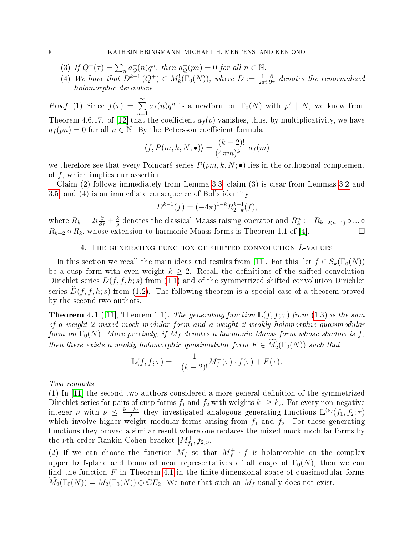- (3) If  $Q^+(\tau) = \sum_n a_Q^+(n)q^n$ , then  $a_Q^+(pn) = 0$  for all  $n \in \mathbb{N}$ .
- (4) We have that  $D^{k-1}(Q^+) \in M_k^!(\Gamma_0(N))$ , where  $D := \frac{1}{2\pi i}$  $\frac{\partial}{\partial \tau}$  denotes the renormalized holomorphic derivative.

*Proof.* (1) Since  $f(\tau) = \sum_{n=0}^{\infty}$  $n=1$  $a_f(n)q^n$  is a newform on  $\Gamma_0(N)$  with  $p^2 \mid N$ , we know from Theorem 4.6.17. of [\[12\]](#page-11-16) that the coefficient  $a_f(p)$  vanishes, thus, by multiplicativity, we have  $a_f (pn) = 0$  for all  $n \in \mathbb{N}$ . By the Petersson coefficient formula

$$
\langle f, P(m, k, N; \bullet) \rangle = \frac{(k-2)!}{(4\pi m)^{k-1}} a_f(m)
$$

we therefore see that every Poincaré series  $P(pm, k, N; \bullet)$  lies in the orthogonal complement of f, which implies our assertion.

Claim (2) follows immediately from Lemma [3.3,](#page-6-2) claim (3) is clear from Lemmas [3.2](#page-5-0) and [3.5,](#page-6-0) and (4) is an immediate consequence of Bol's identity

$$
D^{k-1}(f) = (-4\pi)^{1-k} R_{2-k}^{k-1}(f),
$$

where  $R_k = 2i \frac{\partial}{\partial \tau} + \frac{k}{y}$  $\frac{k}{y}$  denotes the classical Maass raising operator and  $R_k^n := R_{k+2(n-1)} \circ ... \circ R_k$  $R_{k+2} \circ R_k$ , whose extension to harmonic Maass forms is Theorem 1.1 of [\[4\]](#page-11-5).

## 4. The generating function of shifted convolution L-values

In this section we recall the main ideas and results from [\[11\]](#page-11-4). For this, let  $f \in S_k(\Gamma_0(N))$ be a cusp form with even weight  $k \geq 2$ . Recall the definitions of the shifted convolution Dirichlet series  $D(f, f, h; s)$  from [\(1.1\)](#page-0-1) and of the symmetrized shifted convolution Dirichlet series  $\widehat{D}(f, f, h; s)$  from [\(1.2\)](#page-1-1). The following theorem is a special case of a theorem proved by the second two authors.

<span id="page-7-0"></span>**Theorem 4.1** ([\[11\]](#page-11-4), Theorem 1.1). The generating function  $\mathbb{L}(f, f; \tau)$  from [\(1.3\)](#page-1-2) is the sum of a weight 2 mixed mock modular form and a weight 2 weakly holomorphic quasimodular form on  $\Gamma_0(N)$ . More precisely, if  $M_f$  denotes a harmonic Maass form whose shadow is f, then there exists a weakly holomorphic quasimodular form  $F \in M_2^1(\Gamma_0(N))$  such that

$$
\mathbb{L}(f, f; \tau) = -\frac{1}{(k-2)!} M_f^+(\tau) \cdot f(\tau) + F(\tau).
$$

Two remarks.

 $(1)$  In  $|11|$  the second two authors considered a more general definition of the symmetrized Dirichlet series for pairs of cusp forms  $f_1$  and  $f_2$  with weights  $k_1 \geq k_2$ . For every non-negative integer  $\nu$  with  $\nu \leq \frac{k_1-k_2}{2}$  $\frac{-k_2}{2}$  they investigated analogous generating functions  $\mathbb{L}^{(\nu)}(f_1, f_2; \tau)$ which involve higher weight modular forms arising from  $f_1$  and  $f_2$ . For these generating functions they proved a similar result where one replaces the mixed mock modular forms by the *ν*th order Rankin-Cohen bracket  $[M_{f_1}^+, f_2]_\nu$ .

(2) If we can choose the function  $M_f$  so that  $M_f^+ \cdot f$  is holomorphic on the complex upper half-plane and bounded near representatives of all cusps of  $\Gamma_0(N)$ , then we can find the function  $F$  in Theorem [4.1](#page-7-0) in the finite-dimensional space of quasimodular forms  $M_2(\Gamma_0(N)) = M_2(\Gamma_0(N)) \oplus \mathbb{C}E_2$ . We note that such an  $M_f$  usually does not exist.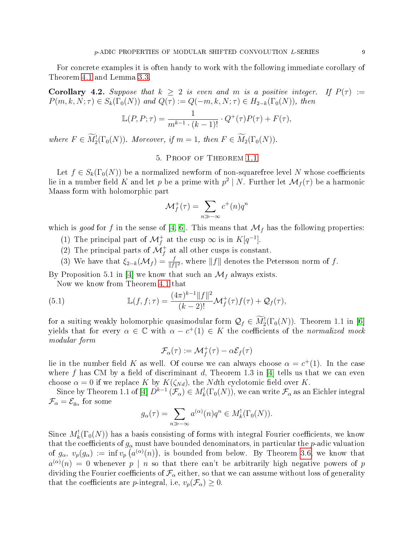For concrete examples it is often handy to work with the following immediate corollary of Theorem [4.1](#page-7-0) and Lemma [3.3.](#page-6-2)

**Corollary 4.2.** Suppose that  $k \geq 2$  is even and m is a positive integer. If  $P(\tau) :=$  $P(m, k, N; \tau) \in S_k(\Gamma_0(N))$  and  $Q(\tau) := Q(-m, k, N; \tau) \in H_{2-k}(\Gamma_0(N))$ , then

$$
\mathbb{L}(P, P; \tau) = \frac{1}{m^{k-1} \cdot (k-1)!} \cdot Q^+(\tau)P(\tau) + F(\tau),
$$

where  $F \in M_2^!(\Gamma_0(N))$ . Moreover, if  $m = 1$ , then  $F \in M_2(\Gamma_0(N))$ .

## 5. Proof of Theorem [1.1](#page-2-1)

Let  $f \in S_k(\Gamma_0(N))$  be a normalized newform of non-squarefree level N whose coefficients lie in a number field  $K$  and let  $p$  be a prime with  $p^2 \mid N.$  Further let  $\mathcal{M}_f(\tau)$  be a harmonic Maass form with holomorphic part

$$
\mathcal{M}_f^+(\tau) = \sum_{n \gg -\infty} c^+(n)q^n
$$

which is good for f in the sense of [\[4,](#page-11-5) [6\]](#page-11-6). This means that  $\mathcal{M}_f$  has the following properties:

- (1) The principal part of  $\mathcal{M}_f^+$  at the cusp  $\infty$  is in  $K[q^{-1}]$ .
- (2) The principal parts of  $\mathcal{M}_f^+$  at all other cusps is constant.
- (3) We have that  $\xi_{2-k}(\mathcal{M}_f) = \frac{f}{\|f\|^2}$ , where  $\|f\|$  denotes the Petersson norm of f.

By Proposition 5.1 in [\[4\]](#page-11-5) we know that such an  $\mathcal{M}_f$  always exists.

Now we know from Theorem [4.1](#page-7-0) that

(5.1) 
$$
\mathbb{L}(f, f; \tau) = \frac{(4\pi)^{k-1} ||f||^2}{(k-2)!} \mathcal{M}_f^+(\tau) f(\tau) + \mathcal{Q}_f(\tau),
$$

for a suiting weakly holomorphic quasimodular form  $\mathcal{Q}_f \in M_2^1(\Gamma_0(N))$ . Theorem 1.1 in [\[6\]](#page-11-6) yields that for every  $\alpha \in \mathbb{C}$  with  $\alpha - c^+(1) \in K$  the coefficients of the normalized mock modular form

<span id="page-8-0"></span>
$$
\mathcal{F}_{\alpha}(\tau) := \mathcal{M}_f^+(\tau) - \alpha \mathcal{E}_f(\tau)
$$

lie in the number field K as well. Of course we can always choose  $\alpha = c^+(1)$ . In the case where f has CM by a field of discriminant d, Theorem 1.3 in [\[4\]](#page-11-5) tells us that we can even choose  $\alpha = 0$  if we replace K by  $K(\zeta_{Nd})$ , the Ndth cyclotomic field over K.

Since by Theorem 1.1 of [\[4\]](#page-11-5)  $D^{k-1}(\mathcal{F}_{\alpha}) \in M^!_k(\Gamma_0(N))$ , we can write  $\mathcal{F}_{\alpha}$  as an Eichler integral  $\mathcal{F}_{\alpha}=\mathcal{E}_{g_{\alpha}}$  for some

$$
g_{\alpha}(\tau) = \sum_{n \gg -\infty} a^{(\alpha)}(n) q^n \in M_k^!(\Gamma_0(N)).
$$

Since  $M_k^!(\Gamma_0(N))$  has a basis consisting of forms with integral Fourier coefficients, we know that the coefficients of  $g_{\alpha}$  must have bounded denominators, in particular the *p*-adic valuation of  $g_{\alpha}$ ,  $v_p(g_{\alpha}) := \inf v_p(u^{(\alpha)}(n))$ , is bounded from below. By Theorem [3.6,](#page-6-3) we know that  $a^{(\alpha)}(n) \, = \, 0$  whenever  $p \, \mid \, n$  so that there can't be arbitrarily high negative powers of  $p$ dividing the Fourier coefficients of  $\mathcal{F}_{\alpha}$  either, so that we can assume without loss of generality that the coefficients are *p*-integral, i.e,  $v_p(\mathcal{F}_\alpha) \geq 0$ .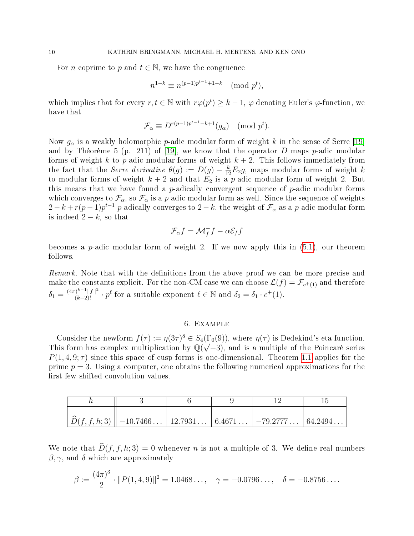For *n* coprime to *p* and  $t \in \mathbb{N}$ , we have the congruence

$$
n^{1-k} \equiv n^{(p-1)p^{t-1}+1-k} \pmod{p^t},
$$

which implies that for every  $r, t \in \mathbb{N}$  with  $r\varphi(p^t) \geq k-1$ ,  $\varphi$  denoting Euler's  $\varphi$ -function, we have that

$$
\mathcal{F}_{\alpha} \equiv D^{r(p-1)p^{t-1}-k+1}(g_{\alpha}) \pmod{p^t}.
$$

Now  $g_{\alpha}$  is a weakly holomorphic p-adic modular form of weight k in the sense of Serre [\[19\]](#page-12-0) and by Théorème 5 (p. 211) of [\[19\]](#page-12-0), we know that the operator D maps  $p$ -adic modular forms of weight k to p-adic modular forms of weight  $k + 2$ . This follows immediately from the fact that the *Serre derivative*  $\theta(g) := D(g) - \frac{k}{12}E_2g$ , maps modular forms of weight k to modular forms of weight  $k + 2$  and that  $E_2$  is a p-adic modular form of weight 2. But this means that we have found a  $p$ -adically convergent sequence of  $p$ -adic modular forms which converges to  $\mathcal{F}_{\alpha}$ , so  $\mathcal{F}_{\alpha}$  is a p-adic modular form as well. Since the sequence of weights  $2-k+r(p-1)p^{t-1}$  p-adically converges to  $2-k,$  the weight of  $\mathcal{F}_{\alpha}$  as a p-adic modular form is indeed  $2-k$ , so that

$$
\mathcal{F}_{\alpha}f = \mathcal{M}_f^+ f - \alpha \mathcal{E}_f f
$$

becomes a  $p$ -adic modular form of weight 2. If we now apply this in  $(5.1)$ , our theorem follows.

Remark. Note that with the definitions from the above proof we can be more precise and make the constants explicit. For the non-CM case we can choose  $\mathcal{L}(f) = \mathcal{F}_{c^+(1)}$  and therefore  $\delta_1 = \frac{(4\pi)^{k-1}||f||^2}{(k-2)!} \cdot p^{\ell}$  for a suitable exponent  $\ell \in \mathbb{N}$  and  $\delta_2 = \delta_1 \cdot c^+(1)$ .

## 6. Example

<span id="page-9-0"></span>Consider the newform  $f(\tau) := \eta(3\tau)^8 \in S_4(\Gamma_0(9))$ , where  $\eta(\tau)$  is Dedekind's eta-function. This form has complex multiplication by  $\mathbb{Q}(\sqrt{-3})$ , and is a multiple of the Poincaré series  $P(1, 4, 9; \tau)$  since this space of cusp forms is one-dimensional. Theorem [1.1](#page-2-1) applies for the prime  $p = 3$ . Using a computer, one obtains the following numerical approximations for the first few shifted convolution values.

| $\left  \widehat{D}(f,f,h;3) \right $ -10.7466 12.7931 6.4671 -79.2777 64.2494 |  |  |
|--------------------------------------------------------------------------------|--|--|

We note that  $\widehat{D}(f, f, h; 3) = 0$  whenever n is not a multiple of 3. We define real numbers  $\beta, \gamma$ , and  $\delta$  which are approximately

$$
\beta := \frac{(4\pi)^3}{2} \cdot ||P(1,4,9)||^2 = 1.0468\dots, \quad \gamma = -0.0796\dots, \quad \delta = -0.8756\dots.
$$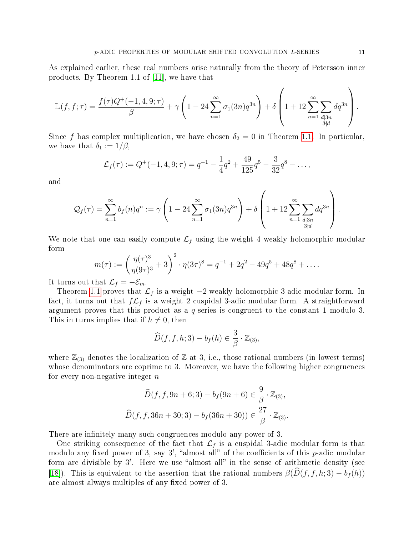As explained earlier, these real numbers arise naturally from the theory of Petersson inner products. By Theorem 1.1 of [\[11\]](#page-11-4), we have that

$$
\mathbb{L}(f, f; \tau) = \frac{f(\tau)Q^+(-1, 4, 9; \tau)}{\beta} + \gamma \left(1 - 24 \sum_{n=1}^{\infty} \sigma_1(3n)q^{3n}\right) + \delta \left(1 + 12 \sum_{n=1}^{\infty} \sum_{\substack{d|3n\\3\nmid d}} dq^{3n}\right).
$$

Since f has complex multiplication, we have chosen  $\delta_2 = 0$  in Theorem [1.1.](#page-2-1) In particular, we have that  $\delta_1 := 1/\beta$ ,

$$
\mathcal{L}_f(\tau) := Q^+(-1, 4, 9; \tau) = q^{-1} - \frac{1}{4}q^2 + \frac{49}{125}q^5 - \frac{3}{32}q^8 - \dots,
$$

and

$$
\mathcal{Q}_f(\tau) = \sum_{n=1}^{\infty} b_f(n) q^n := \gamma \left( 1 - 24 \sum_{n=1}^{\infty} \sigma_1(3n) q^{3n} \right) + \delta \left( 1 + 12 \sum_{\substack{n=1 \ d | 3n \\ 3 \nmid d}}^{\infty} dq^{3n} \right).
$$

We note that one can easily compute  $\mathcal{L}_f$  using the weight 4 weakly holomorphic modular form

$$
m(\tau) := \left(\frac{\eta(\tau)^3}{\eta(9\tau)^3} + 3\right)^2 \cdot \eta(3\tau)^8 = q^{-1} + 2q^2 - 49q^5 + 48q^8 + \dots
$$

It turns out that  $\mathcal{L}_f = -\mathcal{E}_m$ .

Theorem [1.1](#page-2-1) proves that  $\mathcal{L}_f$  is a weight −2 weakly holomorphic 3-adic modular form. In fact, it turns out that  $f\mathcal{L}_f$  is a weight 2 cuspidal 3-adic modular form. A straightforward argument proves that this product as a  $q$ -series is congruent to the constant 1 modulo 3. This in turns implies that if  $h \neq 0$ , then

$$
\widehat{D}(f, f, h; 3) - b_f(h) \in \frac{3}{\beta} \cdot \mathbb{Z}_{(3)},
$$

where  $\mathbb{Z}_{(3)}$  denotes the localization of  $\mathbb Z$  at 3, i.e., those rational numbers (in lowest terms) whose denominators are coprime to 3. Moreover, we have the following higher congruences for every non-negative integer  $n$ 

$$
\widehat{D}(f, f, 9n + 6; 3) - b_f(9n + 6) \in \frac{9}{\beta} \cdot \mathbb{Z}_{(3)},
$$
  

$$
\widehat{D}(f, f, 36n + 30; 3) - b_f(36n + 30)) \in \frac{27}{\beta} \cdot \mathbb{Z}_{(3)}.
$$

There are infinitely many such congruences modulo any power of 3.

One striking consequence of the fact that  $\mathcal{L}_f$  is a cuspidal 3-adic modular form is that modulo any fixed power of 3, say  $3^t$ , "almost all" of the coefficients of this p-adic modular form are divisible by  $3^t$ . Here we use "almost all" in the sense of arithmetic density (see [\[18\]](#page-12-2)). This is equivalent to the assertion that the rational numbers  $\beta(\hat{D}(f, f, h; 3) - b_f(h))$ are almost always multiples of any fixed power of 3.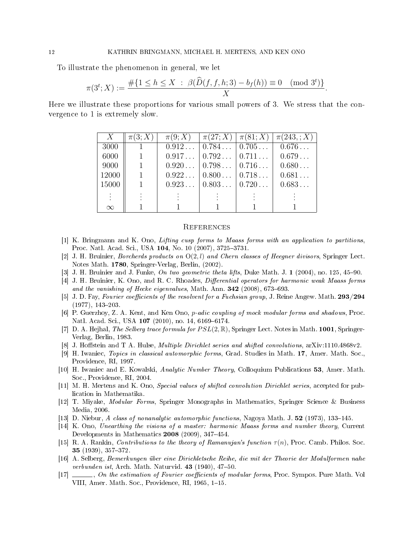To illustrate the phenomenon in general, we let

$$
\pi(3^t;X) := \frac{\#\{1 \le h \le X \; : \; \beta(\widehat{D}(f,f,h;3) - b_f(h)) \equiv 0 \pmod{3^t}\}}{X}.
$$

Here we illustrate these proportions for various small powers of 3. We stress that the convergence to 1 is extremely slow.

| X        | $\pi(3;X)$ | $\pi(9;X)$ | $\pi(27; X)   \pi(81; X)$   | $\pi(243, ; X)$ |
|----------|------------|------------|-----------------------------|-----------------|
| 3000     |            |            | $0.912$   $0.784$   $0.705$ | 0.676           |
| 6000     |            |            | $0.917$   $0.792$   $0.711$ | 0.679           |
| 9000     |            |            | $0.920$   $0.798$   $0.716$ | 0.680           |
| 12000    |            |            | $0.922$   $0.800$   $0.718$ | 0.681           |
| 15000    |            |            | $0.923$ $0.803$ $0.720$     | 0.683           |
|          |            |            |                             |                 |
| $\infty$ |            |            |                             |                 |

### **REFERENCES**

- <span id="page-11-9"></span>[1] K. Bringmann and K. Ono, Lifting cusp forms to Maass forms with an application to partitions, Proc. Natl. Acad. Sci., USA 104, No. 10 (2007), 3725–3731.
- <span id="page-11-11"></span>[2] J. H. Bruinier, Borcherds products on O(2, l) and Chern classes of Heegner divisors, Springer Lect. Notes Math. 1780, Springer-Verlag, Berlin, (2002).
- <span id="page-11-8"></span>[3] J. H. Bruinier and J. Funke, On two geometric theta lifts, Duke Math. J. 1 (2004), no. 125, 45–90.
- <span id="page-11-5"></span>[4] J. H. Bruinier, K. Ono, and R. C. Rhoades, *Differential operators for harmonic weak Maass forms* and the vanishing of Hecke eigenvalues, Math. Ann.  $342$  (2008), 673–693.
- <span id="page-11-12"></span>[5] J. D. Fay, Fourier coefficients of the resolvent for a Fuchsian group, J. Reine Angew. Math. 293/294  $(1977), 143 - 203.$
- <span id="page-11-6"></span>[6] P. Guerzhoy, Z. A. Kent, and Ken Ono, p-adic coupling of mock modular forms and shadows, Proc. Natl. Acad. Sci., USA 107 (2010), no. 14, 6169–6174.
- <span id="page-11-13"></span>[7] D. A. Hejhal, The Selberg trace formula for  $PSL(2,\mathbb{R})$ , Springer Lect. Notes in Math. 1001, Springer-Verlag, Berlin, 1983.
- <span id="page-11-3"></span>[8] J. Hoffstein and T A. Hulse, *Multiple Dirichlet series and shifted convolutions*, arXiv:1110.4868v2.
- <span id="page-11-10"></span>[9] H. Iwaniec, Topics in classical automorphic forms, Grad. Studies in Math. 17, Amer. Math. Soc., Providence, RI, 1997.
- <span id="page-11-15"></span>[10] H. Iwaniec and E. Kowalski, Analytic Number Theory, Colloquium Publications 53, Amer. Math. Soc., Providence, RI, 2004.
- <span id="page-11-4"></span>[11] M. H. Mertens and K. Ono, Special values of shifted convolution Dirichlet series, accepted for publication in Mathematika.
- <span id="page-11-16"></span>[12] T. Miyake, Modular Forms, Springer Monographs in Mathematics, Springer Science & Business Media, 2006.
- <span id="page-11-14"></span>[13] D. Niebur, A class of nonanalytic automorphic functions, Nagoya Math. J.  $52$  (1973), 133–145.
- <span id="page-11-7"></span>[14] K. Ono, Unearthing the visions of a master: harmonic Maass forms and number theory, Current Developments in Mathematics  $2008$  (2009), 347-454.
- <span id="page-11-0"></span>[15] R. A. Rankin, Contributions to the theory of Ramanujan's function  $\tau(n)$ , Proc. Camb. Philos. Soc. 35 (1939), 357-372.
- <span id="page-11-1"></span>[16] A. Selberg, Bemerkungen über eine Dirichletsche Reihe, die mit der Theorie der Modulformen nahe verbunden ist, Arch. Math. Naturvid.  $43$  (1940), 47–50.
- <span id="page-11-2"></span>[17]  $\ldots$ , On the estimation of Fourier coefficients of modular forms, Proc. Sympos. Pure Math. Vol VIII, Amer. Math. Soc., Providence, RI, 1965, 1-15.